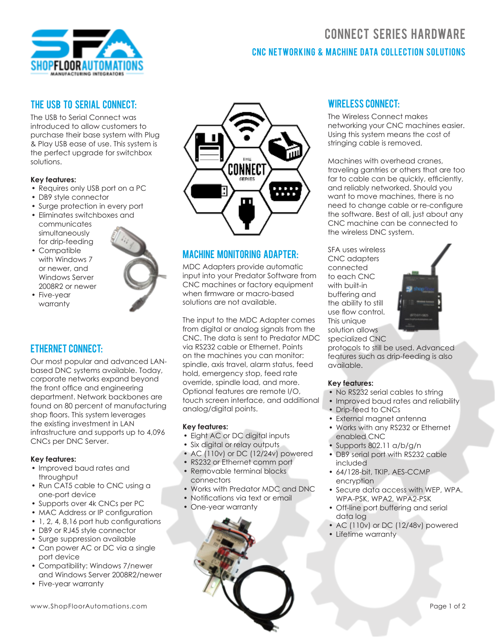

### THE USB TO SERIAL CONNECT-

The USB to Serial Connect was introduced to allow customers to purchase their base system with Plug & Play USB ease of use. This system is the perfect upgrade for switchbox solutions.

#### **Key features:**

- Requires only USB port on a PC
- DB9 style connector
- Surge protection in every port
- Eliminates switchboxes and
- communicates simultaneously for drip-feeding
- Compatible with Windows 7 or newer, and Windows Server 2008R2 or newer
- Five-year warranty

### Ethernet Connect:

Our most popular and advanced LANbased DNC systems available. Today, corporate networks expand beyond the front office and engineering department. Network backbones are found on 80 percent of manufacturing shop floors. This system leverages the existing investment in LAN infrastructure and supports up to 4,096 CNCs per DNC Server.

### **Key features:**

- Improved baud rates and throughput
- Run CAT5 cable to CNC using a one-port device
- Supports over 4k CNCs per PC
- MAC Address or IP configuration
- 1, 2, 4, 8,16 port hub configurations
- DB9 or RJ45 style connector
- Surge suppression available
- Can power AC or DC via a single port device
- Compatibility: Windows 7/newer and Windows Server 2008R2/newer
- Five-year warranty



### Machine Monitoring Adapter:

MDC Adapters provide automatic input into your Predator Software from CNC machines or factory equipment when firmware or macro-based solutions are not available.

The input to the MDC Adapter comes from digital or analog signals from the CNC. The data is sent to Predator MDC via RS232 cable or Ethernet. Points on the machines you can monitor: spindle, axis travel, alarm status, feed hold, emergency stop, feed rate override, spindle load, and more. Optional features are remote I/O, touch screen interface, and additional analog/digital points.

#### **Key features:**

- Eight AC or DC digital inputs
- Six digital or relay outputs
- AC (110v) or DC (12/24v) powered
- RS232 or Ethernet comm port
- Removable terminal blocks connectors
- Works with Predator MDC and DNC
- Notifications via text or email
- One-year warranty



# CNC NETWORKING & MACHINE DATA COLLECTION SOLUTIONS **CONNECT SERIES HARDWARE**

### Wireless Connect:

The Wireless Connect makes networking your CNC machines easier. Using this system means the cost of stringing cable is removed.

Machines with overhead cranes, traveling gantries or others that are too far to cable can be quickly, efficiently, and reliably networked. Should you want to move machines, there is no need to change cable or re-configure the software. Best of all, just about any CNC machine can be connected to the wireless DNC system.

SFA uses wireless CNC adapters connected to each CNC with built-in buffering and the ability to still use flow control. This unique solution allows specialized CNC



protocols to still be used. Advanced features such as drip-feeding is also available.

#### **Key features:**

- No RS232 serial cables to string
- Improved baud rates and reliability
- Drip-feed to CNCs
- External magnet antenna
- Works with any RS232 or Ethernet enabled CNC
- Supports 802.11 a/b/g/n
- DB9 serial port with RS232 cable included
- 64/128-bit, TKIP, AES-CCMP encryption
- Secure data access with WEP, WPA. WPA-PSK, WPA2, WPA2-PSK
- Off-line port buffering and serial data log
- AC (110v) or DC (12/48v) powered
- Lifetime warranty